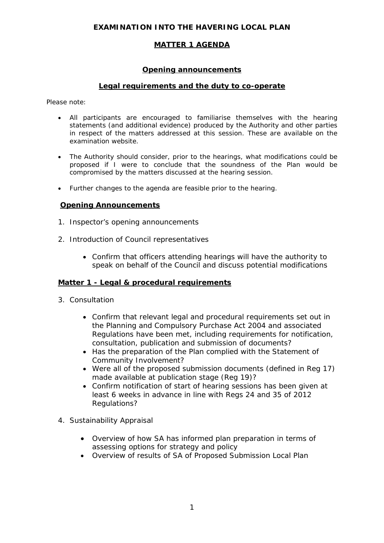## **EXAMINATION INTO THE HAVERING LOCAL PLAN**

# **MATTER 1 AGENDA**

### **Opening announcements**

## **Legal requirements and the duty to co-operate**

*Please note:* 

- *All participants are encouraged to familiarise themselves with the hearing statements (and additional evidence) produced by the Authority and other parties in respect of the matters addressed at this session. These are available on the examination website.*
- *The Authority should consider, prior to the hearings, what modifications could be proposed if I were to conclude that the soundness of the Plan would be compromised by the matters discussed at the hearing session.*
- *Further changes to the agenda are feasible prior to the hearing.*

#### **Opening Announcements**

- 1. Inspector's opening announcements
- 2. Introduction of Council representatives
	- Confirm that officers attending hearings will have the authority to speak on behalf of the Council and discuss potential modifications

#### **Matter 1 - Legal & procedural requirements**

- 3. Consultation
	- Confirm that relevant legal and procedural requirements set out in the Planning and Compulsory Purchase Act 2004 and associated Regulations have been met, including requirements for notification, consultation, publication and submission of documents?
	- Has the preparation of the Plan complied with the Statement of Community Involvement?
	- Were all of the proposed submission documents (defined in Reg 17) made available at publication stage (Reg 19)?
	- Confirm notification of start of hearing sessions has been given at least 6 weeks in advance in line with Regs 24 and 35 of 2012 Regulations?
- 4. Sustainability Appraisal
	- Overview of how SA has informed plan preparation in terms of assessing options for strategy and policy
	- Overview of results of SA of Proposed Submission Local Plan